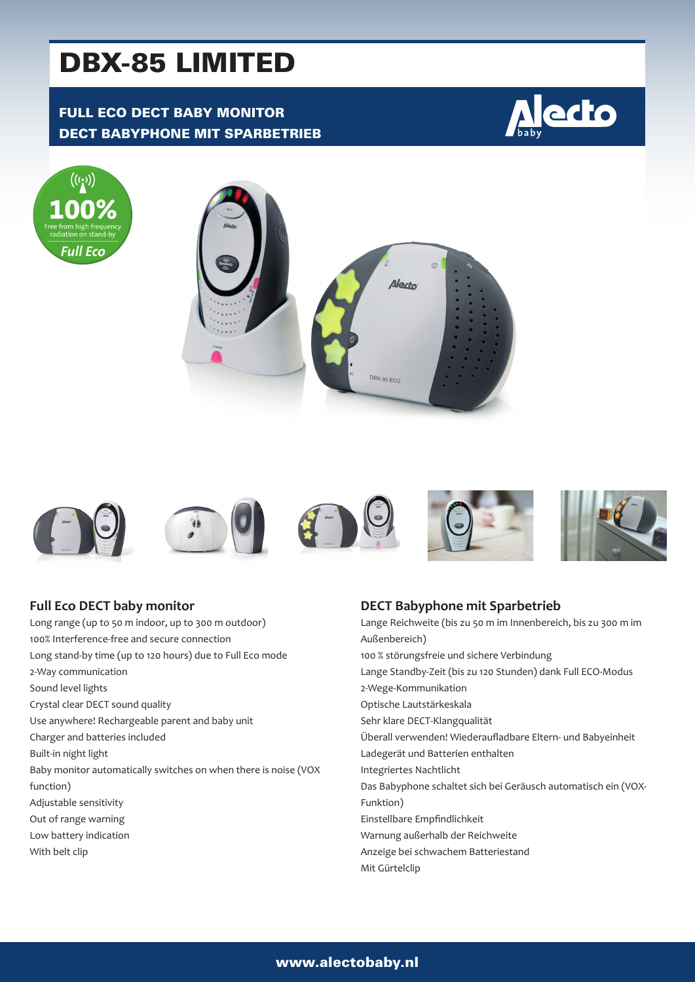# DBX-85 LIMITED

## FULL ECO DECT BABY MONITOR DECT BABYPHONE MIT SPARBETRIEB









#### **Full Eco DECT baby monitor**

Long range (up to 50 m indoor, up to 300 m outdoor) 100% Interference-free and secure connection Long stand-by time (up to 120 hours) due to Full Eco mode 2-Way communication Sound level lights Crystal clear DECT sound quality Use anywhere! Rechargeable parent and baby unit Charger and batteries included Built-in night light Baby monitor automatically switches on when there is noise (VOX function) Adjustable sensitivity Out of range warning Low battery indication With belt clip

#### **DECT Babyphone mit Sparbetrieb**

Lange Reichweite (bis zu 50 m im Innenbereich, bis zu 300 m im Außenbereich) 100 % störungsfreie und sichere Verbindung Lange Standby-Zeit (bis zu 120 Stunden) dank Full ECO-Modus 2-Wege-Kommunikation Optische Lautstärkeskala Sehr klare DECT-Klangqualität Überall verwenden! Wiederaufladbare Eltern- und Babyeinheit Ladegerät und Batterien enthalten Integriertes Nachtlicht Das Babyphone schaltet sich bei Geräusch automatisch ein (VOX-Funktion) Einstellbare Empfindlichkeit Warnung außerhalb der Reichweite Anzeige bei schwachem Batteriestand Mit Gürtelclip